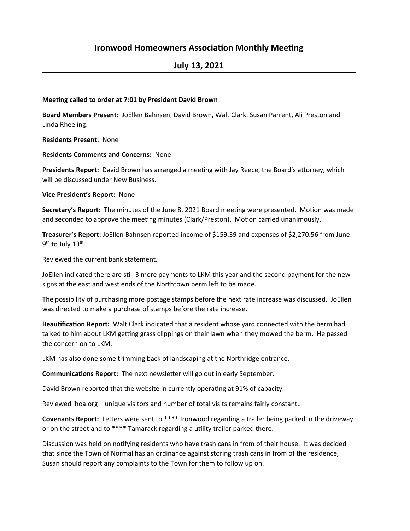## **Ironwood Homeowners Association Monthly Meeting**

# **July 13, 2021**

#### **Meeting called to order at 7:01 by President David Brown**

**Board Members Present:** JoEllen Bahnsen, David Brown, Walt Clark, Susan Parrent, Ali Preston and Linda Rheeling.

**Residents Present: None** 

**Residents Comments and Concerns: None** 

**Presidents Report:** David Brown has arranged a meeting with Jay Reece, the Board's attorney, which will be discussed under New Business.

**Vice President's Report:** None

**Secretary's Report:** The minutes of the June 8, 2021 Board meeting were presented. Motion was made and seconded to approve the meeting minutes (Clark/Preston). Motion carried unanimously.

Treasurer's Report: JoEllen Bahnsen reported income of \$159.39 and expenses of \$2,270.56 from June  $9<sup>th</sup>$  to July 13<sup>th</sup>.

Reviewed the current bank statement.

JoEllen indicated there are still 3 more payments to LKM this year and the second payment for the new signs at the east and west ends of the Northtown berm left to be made.

The possibility of purchasing more postage stamps before the next rate increase was discussed. JoEllen was directed to make a purchase of stamps before the rate increase.

Beautification Report: Walt Clark indicated that a resident whose yard connected with the berm had talked to him about LKM getting grass clippings on their lawn when they mowed the berm. He passed the concern on to LKM.

LKM has also done some trimming back of landscaping at the Northridge entrance.

**Communications Report:** The next newsletter will go out in early September.

David Brown reported that the website in currently operating at 91% of capacity.

Reviewed ihoa.org – unique visitors and number of total visits remains fairly constant..

**Covenants Report:** Letters were sent to \*\*\*\* Ironwood regarding a trailer being parked in the driveway or on the street and to \*\*\*\* Tamarack regarding a utility trailer parked there.

Discussion was held on notifying residents who have trash cans in from of their house. It was decided that since the Town of Normal has an ordinance against storing trash cans in from of the residence, Susan should report any complaints to the Town for them to follow up on.